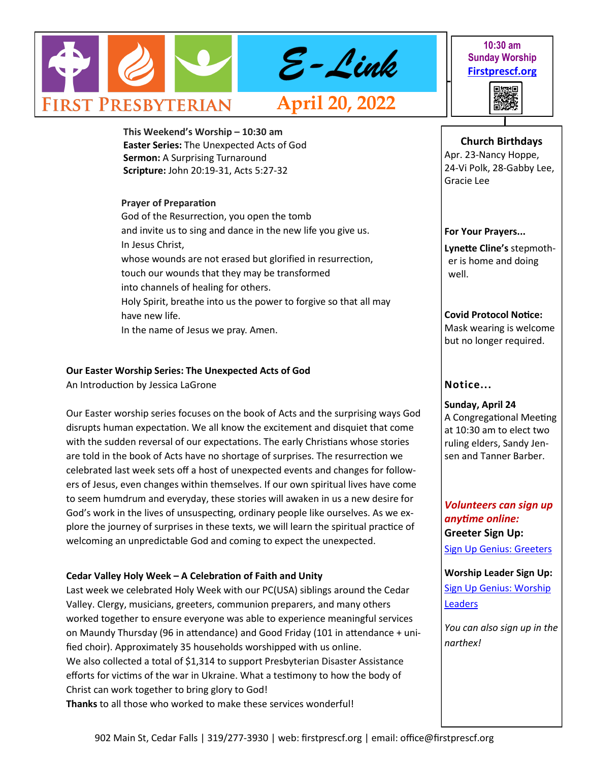

**10:30 am Sunday Worship [Firstprescf.org](http://www.firstprescf.org)**



**Church Birthdays** Apr. 23-Nancy Hoppe,

**This Weekend's Worship – 10:30 am Easter Series:** The Unexpected Acts of God **Sermon:** A Surprising Turnaround **Scripture:** John 20:19-31, Acts 5:27-32

## **Prayer of Preparation**

God of the Resurrection, you open the tomb and invite us to sing and dance in the new life you give us. In Jesus Christ, whose wounds are not erased but glorified in resurrection, touch our wounds that they may be transformed into channels of healing for others. Holy Spirit, breathe into us the power to forgive so that all may have new life. In the name of Jesus we pray. Amen.

## **Our Easter Worship Series: The Unexpected Acts of God**

An Introduction by Jessica LaGrone

Our Easter worship series focuses on the book of Acts and the surprising ways God disrupts human expectation. We all know the excitement and disquiet that come with the sudden reversal of our expectations. The early Christians whose stories are told in the book of Acts have no shortage of surprises. The resurrection we celebrated last week sets off a host of unexpected events and changes for followers of Jesus, even changes within themselves. If our own spiritual lives have come to seem humdrum and everyday, these stories will awaken in us a new desire for God's work in the lives of unsuspecting, ordinary people like ourselves. As we explore the journey of surprises in these texts, we will learn the spiritual practice of welcoming an unpredictable God and coming to expect the unexpected.

## **Cedar Valley Holy Week – A Celebration of Faith and Unity**

Last week we celebrated Holy Week with our PC(USA) siblings around the Cedar Valley. Clergy, musicians, greeters, communion preparers, and many others worked together to ensure everyone was able to experience meaningful services on Maundy Thursday (96 in attendance) and Good Friday (101 in attendance + unified choir). Approximately 35 households worshipped with us online. We also collected a total of \$1,314 to support Presbyterian Disaster Assistance efforts for victims of the war in Ukraine. What a testimony to how the body of Christ can work together to bring glory to God! **Thanks** to all those who worked to make these services wonderful!

#### 24-Vi Polk, 28-Gabby Lee, Gracie Lee

## **For Your Prayers...**

**Lynette Cline's** stepmother is home and doing well.

**Covid Protocol Notice:** Mask wearing is welcome but no longer required.

# **Notice...**

**Sunday, April 24** A Congregational Meeting at 10:30 am to elect two ruling elders, Sandy Jensen and Tanner Barber.

# *Volunteers can sign up anytime online:* **Greeter Sign Up:**

[Sign Up Genius: Greeters](https://www.signupgenius.com/go/10C0D4BA9A728ABF4CF8-shepherds1)

**Worship Leader Sign Up:** [Sign Up Genius: Worship](https://www.signupgenius.com/go/10C0D4BA9A728ABF4CF8-worship)  [Leaders](https://www.signupgenius.com/go/10C0D4BA9A728ABF4CF8-worship)

*You can also sign up in the narthex!*